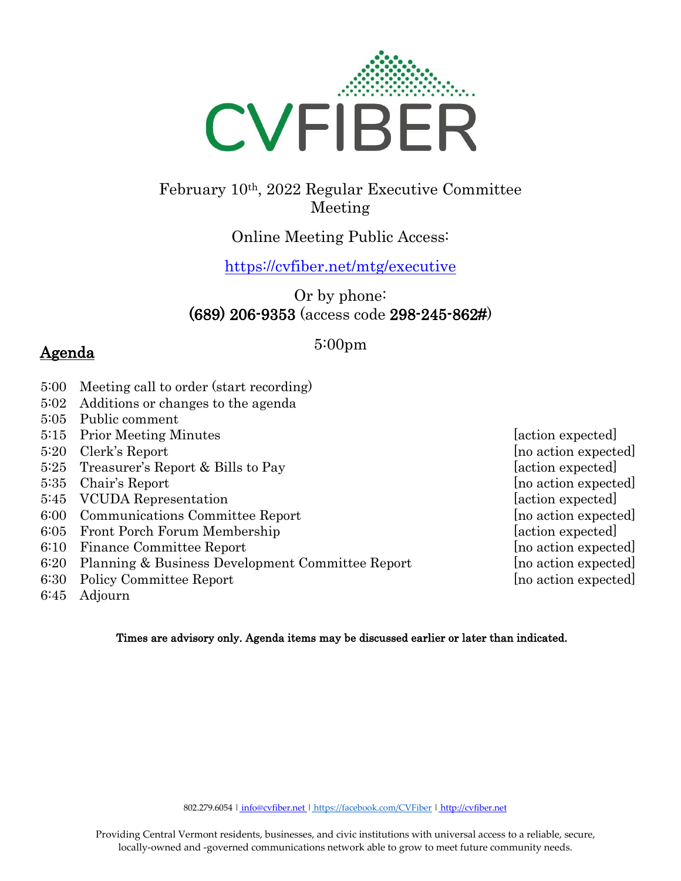

# February 10th, 2022 Regular Executive Committee Meeting

## Online Meeting Public Access:

<https://cvfiber.net/mtg/executive>

### Or by phone: (689) 206-9353 (access code 298-245-862#)

#### 5:00pm

# Agenda

- 5:00 Meeting call to order (start recording)
- 5:02 Additions or changes to the agenda
- 5:05 Public comment
- 5:15 Prior Meeting Minutes [action expected]
- 5:20 Clerk's Report [no action expected]
- 5:25 Treasurer's Report & Bills to Pay [action expected]
- 5:35 Chair's Report [no action expected]
- 5:45 VCUDA Representation [action expected]
- 6:00 Communications Committee Report [no action expected]
- 6:05 Front Porch Forum Membership [action expected]
- 6:10 Finance Committee Report [no action expected]
- 6:20 Planning & Business Development Committee Report [no action expected]
- 6:30 Policy Committee Report [no action expected]
- 6:45 Adjourn

#### Times are advisory only. Agenda items may be discussed earlier or later than indicated.

802.279.6054 | [info@cvfiber.net |](mailto:%20info@cvfiber.net) <https://facebook.com/CVFiber> | [http://cvfiber.net](http://cvfiber.net/)

Providing Central Vermont residents, businesses, and civic institutions with universal access to a reliable, secure, locally-owned and -governed communications network able to grow to meet future community needs.